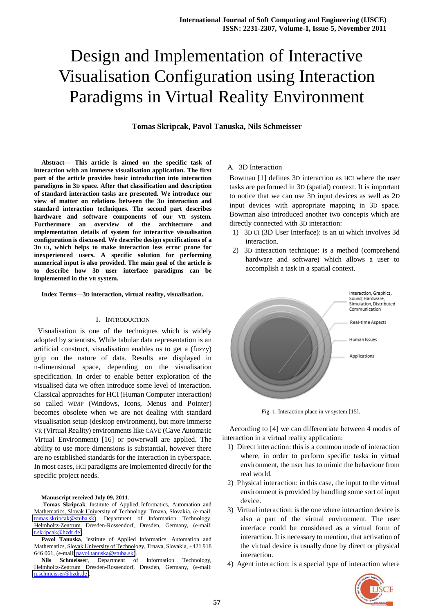**Tomas Skripcak, Pavol Tanuska, Nils Schmeisser** 

**Abstract— This article is aimed on the specific task of interaction with an immerse visualisation application. The first part of the article provides basic introduction into interaction paradigms in 3D space. After that classification and description of standard interaction tasks are presented. We introduce our view of matter on relations between the 3D interaction and standard interaction techniques. The second part describes hardware and software components of our VR system. Furthermore an overview of the architecture and implementation details of system for interactive visualisation configuration is discussed. We describe design specifications of a 3D UI, which helps to make interaction less error prone for inexperienced users. A specific solution for performing numerical input is also provided. The main goal of the article is to describe how 3D user interface paradigms can be implemented in the VR system.** 

**Index Terms—3D interaction, virtual reality, visualisation.** 

#### I. INTRODUCTION

 Visualisation is one of the techniques which is widely adopted by scientists. While tabular data representation is an artificial construct, visualisation enables us to get a (fuzzy) grip on the nature of data. Results are displayed in n-dimensional space, depending on the visualisation specification. In order to enable better exploration of the visualised data we often introduce some level of interaction. Classical approaches for HCI (Human Computer Interaction) so called WIMP (Windows, Icons, Menus and Pointer) becomes obsolete when we are not dealing with standard visualisation setup (desktop environment), but more immerse VR (Virtual Reality) environments like CAVE (Cave Automatic Virtual Environment) [16] or powerwall are applied. The ability to use more dimensions is substantial, however there are no established standards for the interaction in cyberspace. In most cases, HCI paradigms are implemented directly for the specific project needs.

#### **Manuscript received July 09, 2011**.

**Tomas Skripcak**, Institute of Applied Informatics, Automation and Mathematics, Slovak University of Technology, Trnava, Slovakia, (e-mail: [tomas.skripcak@stuba.sk\)](mailto:tomas.skripcak@stuba.sk), Department of Information Technology, Helmholtz-Zentrum Dresden-Rossendorf, Dresden, Germany, (e-mail: [t.skripcak@hzdr.de\)](mailto:t.skripcak@hzdr.de).

**Pavol Tanuska**, Institute of Applied Informatics, Automation and Mathematics, Slovak University of Technology, Trnava, Slovakia, +421 918 646 061, (e-mail[: pavol.tanuska@stuba.sk\)](mailto:pavol.tanuska@stuba.sk).

**Nils Schmeisser**, Department of Information Technology, Helmholtz-Zentrum Dresden-Rossendorf, Dresden, Germany, (e-mail: [n.schmeisser@hzdr.de\)](mailto:n.schmeisser@hzdr.de).

#### A. 3D Interaction

Bowman [1] defines 3D interaction as HCI where the user tasks are performed in 3D (spatial) context. It is important to notice that we can use 3D input devices as well as 2D input devices with appropriate mapping in 3D space. Bowman also introduced another two concepts which are directly connected with 3D interaction:

- 1) 3D UI (3D User Interface): is an ui which involves 3d interaction.
- 2) 3D interaction technique: is a method (comprehend hardware and software) which allows a user to accomplish a task in a spatial context.



Fig. 1. Interaction place in vr system [15].

According to [4] we can differentiate between 4 modes of interaction in a virtual reality application:

- 1) Direct interaction: this is a common mode of interaction where, in order to perform specific tasks in virtual environment, the user has to mimic the behaviour from real world.
- 2) Physical interaction: in this case, the input to the virtual environment is provided by handling some sort of input device.
- 3) Virtual interaction: is the one where interaction device is also a part of the virtual environment. The user interface could be considered as a virtual form of interaction. It is necessary to mention, that activation of the virtual device is usually done by direct or physical interaction.
- 4) Agent interaction: is a special type of interaction where

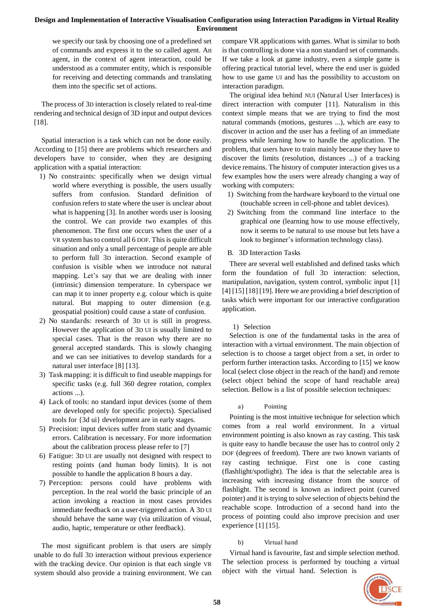we specify our task by choosing one of a predefined set of commands and express it to the so called agent. An agent, in the context of agent interaction, could be understood as a commuter entity, which is responsible for receiving and detecting commands and translating them into the specific set of actions.

The process of 3D interaction is closely related to real-time rendering and technical design of 3D input and output devices [18].

Spatial interaction is a task which can not be done easily. According to [15] there are problems which researchers and developers have to consider, when they are designing application with a spatial interaction:

- 1) No constraints: specifically when we design virtual world where everything is possible, the users usually suffers from confusion. Standard definition of confusion refers to state where the user is unclear about what is happening [3]. In another words user is loosing the control. We can provide two examples of this phenomenon. The first one occurs when the user of a VR system has to control all 6 DOF. This is quite difficult situation and only a small percentage of people are able to perform full 3D interaction. Second example of confusion is visible when we introduce not natural mapping. Let's say that we are dealing with inner (intrinsic) dimension temperature. In cyberspace we can map it to inner property e.g. colour which is quite natural. But mapping to outer dimension (e.g. geospatial position) could cause a state of confusion.
- 2) No standards: research of 3D UI is still in progress. However the application of 3D UI is usually limited to special cases. That is the reason why there are no general accepted standards. This is slowly changing and we can see initiatives to develop standards for a natural user interface [8] [13].
- 3) Task mapping: it is difficult to find useable mappings for specific tasks (e.g. full 360 degree rotation, complex actions ...).
- 4) Lack of tools: no standard input devices (some of them are developed only for specific projects). Specialised tools for {3d ui} development are in early stages.
- 5) Precision: input devices suffer from static and dynamic errors. Calibration is necessary. For more information about the calibration process please refer to [7]
- 6) Fatigue: 3D UI are usually not designed with respect to resting points (and human body limits). It is not possible to handle the application 8 hours a day.
- 7) Perception: persons could have problems with perception. In the real world the basic principle of an action invoking a reaction in most cases provides immediate feedback on a user-triggered action. A 3D UI should behave the same way (via utilization of visual, audio, haptic, temperature or other feedback).

The most significant problem is that users are simply unable to do full 3D interaction without previous experience with the tracking device. Our opinion is that each single VR system should also provide a training environment. We can compare VR applications with games. What is similar to both is that controlling is done via a non standard set of commands. If we take a look at game industry, even a simple game is offering practical tutorial level, where the end user is guided how to use game UI and has the possibility to accustom on interaction paradigm.

The original idea behind NUI (Natural User Interfaces) is direct interaction with computer [11]. Naturalism in this context simple means that we are trying to find the most natural commands (motions, gestures ...), which are easy to discover in action and the user has a feeling of an immediate progress while learning how to handle the application. The problem, that users have to train mainly because they have to discover the limits (resolution, distances ...) of a tracking device remains. The history of computer interaction gives us a few examples how the users were already changing a way of working with computers:

- 1) Switching from the hardware keyboard to the virtual one (touchable screen in cell-phone and tablet devices).
- 2) Switching from the command line interface to the graphical one (learning how to use mouse effectively, now it seems to be natural to use mouse but lets have a look to beginner's information technology class).

## B. 3D Interaction Tasks

There are several well established and defined tasks which form the foundation of full 3D interaction: selection, manipulation, navigation, system control, symbolic input [1] [4] [15] [18] [19]. Here we are providing a brief description of tasks which were important for our interactive configuration application.

## 1) Selection

<span id="page-1-0"></span>Selection is one of the fundamental tasks in the area of interaction with a virtual environment. The main objection of selection is to choose a target object from a set, in order to perform further interaction tasks. According to [15] we know local (select close object in the reach of the hand) and remote (select object behind the scope of hand reachable area) selection. Bellow is a list of possible selection techniques:

#### a) Pointing

Pointing is the most intuitive technique for selection which comes from a real world environment. In a virtual environment pointing is also known as ray casting. This task is quite easy to handle because the user has to control only 2 DOF (degrees of freedom). There are two known variants of ray casting technique. First one is cone casting (flashlight/spotlight). The idea is that the selectable area is increasing with increasing distance from the source of flashlight. The second is known as indirect point (curved pointer) and it is trying to solve selection of objects behind the reachable scope. Introduction of a second hand into the process of pointing could also improve precision and user experience [1] [15].

## b) Virtual hand

Virtual hand is favourite, fast and simple selection method. The selection process is performed by touching a virtual object with the virtual hand. Selection is

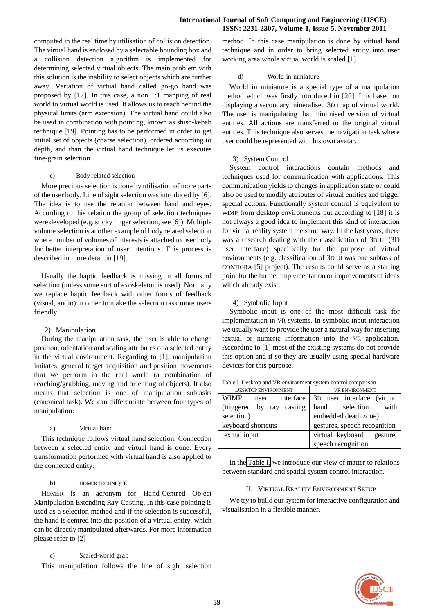computed in the real time by utilisation of collision detection. The virtual hand is enclosed by a selectable bounding box and a collision detection algorithm is implemented for determining selected virtual objects. The main problem with this solution is the inability to select objects which are further away. Variation of virtual hand called go-go hand was proposed by [17]. In this case, a non 1:1 mapping of real world to virtual world is used. It allows us to reach behind the physical limits (arm extension). The virtual hand could also be used in combination with pointing, known as shish-kebab technique [19]. Pointing has to be performed in order to get initial set of objects (coarse selection), ordered according to depth, and than the virtual hand technique let us executes fine-grain selection.

#### c) Body related selection

More precious selection is done by utilisation of more parts of the user body. Line of sight selection was introduced by [6]. The idea is to use the relation between hand and eyes. According to this relation the group of selection techniques were developed (e.g. sticky finger selection, see [6]). Multiple volume selection is another example of body related selection where number of volumes of interests is attached to user body for better interpretation of user intentions. This process is described in more detail in [19].

Usually the haptic feedback is missing in all forms of selection (unless some sort of exoskeleton is used). Normally we replace haptic feedback with other forms of feedback (visual, audio) in order to make the selection task more users friendly.

#### 2) Manipulation

During the manipulation task, the user is able to change position, orientation and scaling attributes of a selected entity in the virtual environment. Regarding to [1], manipulation imitates, general target acquisition and position movements that we perform in the real world (a combination of reaching/grabbing, moving and orienting of objects). It also means that selection is one of manipulation subtasks (canonical task). We can differentiate between four types of manipulation:

#### a) Virtual hand

This technique follows virtual hand selection. Connection between a selected entity and virtual hand is done. Every transformation performed with virtual hand is also applied to the connected entity.

#### b) HOMER TECHNIQUE

HOMER is an acronym for Hand-Centred Object Manipulation Extending Ray-Casting. In this case pointing is used as a selection method and if the selection is successful, the hand is centred into the position of a virtual entity, which can be directly manipulated afterwards. For more information please refer to [2]

#### c) Scaled-world grab

This manipulation follows the line of sight selection

method. In this case manipulation is done by virtual hand technique and in order to bring selected entity into user working area whole virtual world is scaled [1].

#### d) World-in-miniature

World in miniature is a special type of a manipulation method which was firstly introduced in [20]. It is based on displaying a secondary mineralised 3D map of virtual world. The user is manipulating that minimised version of virtual entities. All actions are transferred to the original virtual entities. This technique also serves the navigation task where user could be represented with his own avatar.

#### 3) System Control

System control interactions contain methods and techniques used for communication with applications. This communication yields to changes in application state or could also be used to modify attributes of virtual entities and trigger special actions. Functionally system control is equivalent to WIMP from desktop environments but according to [18] it is not always a good idea to implement this kind of interaction for virtual reality system the same way. In the last years, there was a research dealing with the classification of 3D UI (3D user interface) specifically for the purpose of virtual environments (e.g. classification of 3D UI was one subtask of CONTIGRA [5] project). The results could serve as a starting point for the further implementation or improvements of ideas which already exist.

#### 4) Symbolic Input

Symbolic input is one of the most difficult task for implementation in VR systems. In symbolic input interaction we usually want to provide the user a natural way for inserting textual or numeric information into the VR application. According to [1] most of the existing systems do not provide this option and if so they are usually using special hardware devices for this purpose.

| <b>DESKTOP ENVIRONMENT</b> | <b>VR ENVIRONMENT</b>                  |  |
|----------------------------|----------------------------------------|--|
| <b>WIMP</b><br>user        | interface   3D user interface (virtual |  |
| (triggered by ray casting  | hand selection<br>with                 |  |
| selection)                 | embedded death zone)                   |  |
| keyboard shortcuts         | gestures, speech recognition           |  |
| textual input              | virtual keyboard, gesture,             |  |
|                            | speech recognition                     |  |

<span id="page-2-0"></span>Table I. Desktop and VR environment system control comparison.

<span id="page-2-1"></span>In the [Table I,](#page-2-0) we introduce our view of matter to relations between standard and spatial system control interaction.

#### II. VIRTUAL REALITY ENVIRONMENT SETUP

We try to build our system for interactive configuration and visualisation in a flexible manner.

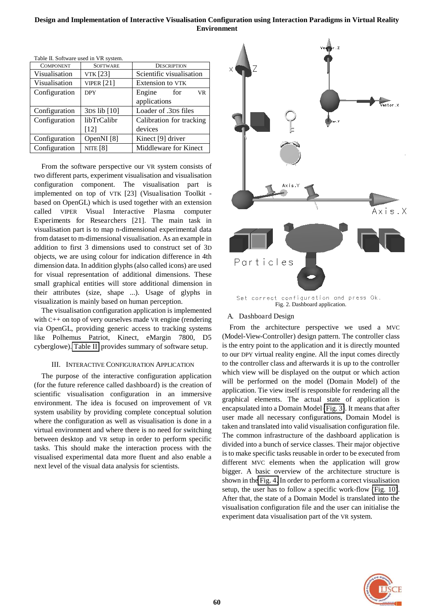| Table II. Software used in VK system. |                 |                            |
|---------------------------------------|-----------------|----------------------------|
| <b>COMPONENT</b>                      | <b>SOFTWARE</b> | <b>DESCRIPTION</b>         |
| Visualisation                         | VTK [23]        | Scientific visualisation   |
| Visualisation                         | VIPER $[21]$    | Extension to VTK           |
| Configuration                         | <b>DPY</b>      | Engine<br>for<br><b>VR</b> |
|                                       |                 | applications               |
| Configuration                         | 3DS lib [10]    | Loader of .3DS files       |
| Configuration                         | libTrCalibr     | Calibration for tracking   |
|                                       | $[12]$          | devices                    |
| Configuration                         | OpenNI [8]      | Kinect [9] driver          |
| Configuration                         | nite [8]        | Middleware for Kinect      |
|                                       |                 |                            |

<span id="page-3-0"></span>Table II. Software used in VR system.

From the software perspective our VR system consists of two different parts, experiment visualisation and visualisation configuration component. The visualisation part is implemented on top of VTK [23] (Visualisation Toolkit based on OpenGL) which is used together with an extension called VIPER Visual Interactive Plasma computer Experiments for Researchers [21]. The main task in visualisation part is to map n-dimensional experimental data from dataset to m-dimensional visualisation. As an example in addition to first 3 dimensions used to construct set of 3D objects, we are using colour for indication difference in 4th dimension data. In addition glyphs (also called icons) are used for visual representation of additional dimensions. These small graphical entities will store additional dimension in their attributes (size, shape ...). Usage of glyphs in visualization is mainly based on human perception.

The visualisation configuration application is implemented with C++ on top of very ourselves made VR engine (rendering via OpenGL, providing generic access to tracking systems like Polhemus Patriot, Kinect, eMargin 7800, D5 cyberglowe). [Table II](#page-3-0) provides summary of software setup.

## III. INTERACTIVE CONFIGURATION APPLICATION

The purpose of the interactive configuration application (for the future reference called dashboard) is the creation of scientific visualisation configuration in an immersive environment. The idea is focused on improvement of VR system usability by providing complete conceptual solution where the configuration as well as visualisation is done in a virtual environment and where there is no need for switching between desktop and VR setup in order to perform specific tasks. This should make the interaction process with the visualised experimental data more fluent and also enable a next level of the visual data analysis for scientists.



## A. Dashboard Design

From the architecture perspective we used a MVC (Model-View-Controller) design pattern. The controller class is the entry point to the application and it is directly mounted to our DPY virtual reality engine. All the input comes directly to the controller class and afterwards it is up to the controller which view will be displayed on the output or which action will be performed on the model (Domain Model) of the application. Tie view itself is responsible for rendering all the graphical elements. The actual state of application is encapsulated into a Domain Model [\(Fig. 3\)](#page-4-0). It means that after user made all necessary configurations, Domain Model is taken and translated into valid visualisation configuration file. The common infrastructure of the dashboard application is divided into a bunch of service classes. Their major objective is to make specific tasks reusable in order to be executed from different MVC elements when the application will grow bigger. A basic overview of the architecture structure is shown in th[e Fig. 4.](#page-4-1) In order to perform a correct visualisation setup, the user has to follow a specific work-flow [\(Fig. 10\)](#page-8-0). After that, the state of a Domain Model is translated into the visualisation configuration file and the user can initialise the experiment data visualisation part of the VR system.

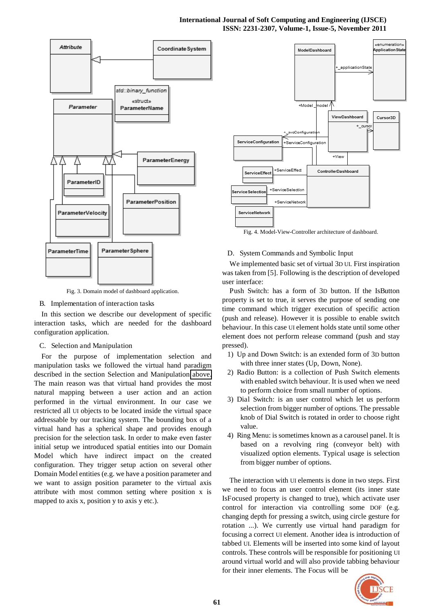## **International Journal of Soft Computing and Engineering (IJSCE) ISSN: 2231-2307, Volume-1, Issue-5, November 2011**



Fig. 3. Domain model of dashboard application.

## <span id="page-4-0"></span>B. Implementation of interaction tasks

In this section we describe our development of specific interaction tasks, which are needed for the dashboard configuration application.

## C. Selection and Manipulation

For the purpose of implementation selection and manipulation tasks we followed the virtual hand paradigm described in the section Selection and Manipulation [above.](#page-1-0) The main reason was that virtual hand provides the most natural mapping between a user action and an action performed in the virtual environment. In our case we restricted all UI objects to be located inside the virtual space addressable by our tracking system. The bounding box of a virtual hand has a spherical shape and provides enough precision for the selection task. In order to make even faster initial setup we introduced spatial entities into our Domain Model which have indirect impact on the created configuration. They trigger setup action on several other Domain Model entities (e.g. we have a position parameter and we want to assign position parameter to the virtual axis attribute with most common setting where position x is mapped to axis x, position y to axis y etc.).



<span id="page-4-1"></span>Fig. 4. Model-View-Controller architecture of dashboard.

## D. System Commands and Symbolic Input

We implemented basic set of virtual 3D UI. First inspiration was taken from [5]. Following is the description of developed user interface:

Push Switch: has a form of 3D button. If the IsButton property is set to true, it serves the purpose of sending one time command which trigger execution of specific action (push and release). However it is possible to enable switch behaviour. In this case UI element holds state until some other element does not perform release command (push and stay pressed).

- 1) Up and Down Switch: is an extended form of 3D button with three inner states (Up, Down, None).
- 2) Radio Button: is a collection of Push Switch elements with enabled switch behaviour. It is used when we need to perform choice from small number of options.
- 3) Dial Switch: is an user control which let us perform selection from bigger number of options. The pressable knob of Dial Switch is rotated in order to choose right value.
- 4) Ring Menu: is sometimes known as a carousel panel. It is based on a revolving ring (conveyor belt) with visualized option elements. Typical usage is selection from bigger number of options.

The interaction with UI elements is done in two steps. First we need to focus an user control element (its inner state IsFocused property is changed to true), which activate user control for interaction via controlling some DOF (e.g. changing depth for pressing a switch, using circle gesture for rotation ...). We currently use virtual hand paradigm for focusing a correct UI element. Another idea is introduction of tabbed UI. Elements will be inserted into some kind of layout controls. These controls will be responsible for positioning UI around virtual world and will also provide tabbing behaviour for their inner elements. The Focus will be

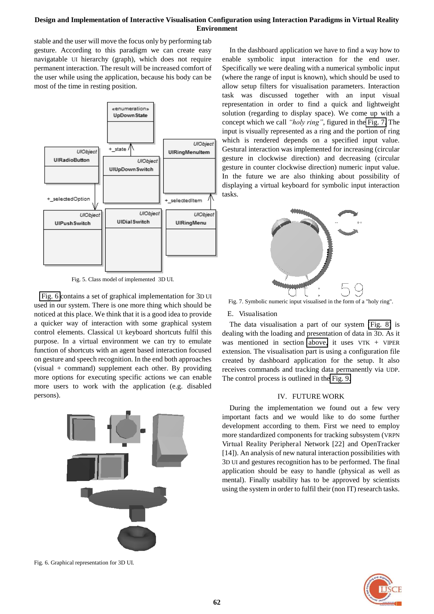stable and the user will move the focus only by performing tab gesture. According to this paradigm we can create easy navigatable UI hierarchy (graph), which does not require permanent interaction. The result will be increased comfort of the user while using the application, because his body can be most of the time in resting position.



Fig. 5. Class model of implemented 3D UI.

[Fig. 6 c](#page-5-0)ontains a set of graphical implementation for 3D UI used in our system. There is one more thing which should be noticed at this place. We think that it is a good idea to provide a quicker way of interaction with some graphical system control elements. Classical UI keyboard shortcuts fulfil this purpose. In a virtual environment we can try to emulate function of shortcuts with an agent based interaction focused on gesture and speech recognition. In the end both approaches (visual + command) supplement each other. By providing more options for executing specific actions we can enable more users to work with the application (e.g. disabled persons).



In the dashboard application we have to find a way how to enable symbolic input interaction for the end user. Specifically we were dealing with a numerical symbolic input (where the range of input is known), which should be used to allow setup filters for visualisation parameters. Interaction task was discussed together with an input visual representation in order to find a quick and lightweight solution (regarding to display space). We come up with a concept which we call *"holy ring"*, figured in the [Fig. 7.](#page-5-1) The input is visually represented as a ring and the portion of ring which is rendered depends on a specified input value. Gestural interaction was implemented for increasing (circular gesture in clockwise direction) and decreasing (circular gesture in counter clockwise direction) numeric input value. In the future we are also thinking about possibility of displaying a virtual keyboard for symbolic input interaction tasks.



<span id="page-5-1"></span>Fig. 7. Symbolic numeric input visualised in the form of a "holy ring".

#### E. Visualisation

The data visualisation a part of our system [\(Fig. 8\)](#page-6-0) is dealing with the loading and presentation of data in 3D. As it was mentioned in section [above,](#page-2-1) it uses VTK + VIPER extension. The visualisation part is using a configuration file created by dashboard application for the setup. It also receives commands and tracking data permanently via UDP. The control process is outlined in the [Fig. 9.](#page-6-1)

## IV. FUTURE WORK

During the implementation we found out a few very important facts and we would like to do some further development according to them. First we need to employ more standardized components for tracking subsystem (VRPN Virtual Reality Peripheral Network [22] and OpenTracker [14]). An analysis of new natural interaction possibilities with 3D UI and gestures recognition has to be performed. The final application should be easy to handle (physical as well as mental). Finally usability has to be approved by scientists using the system in order to fulfil their (non IT) research tasks.



<span id="page-5-0"></span>Fig. 6. Graphical representation for 3D UI.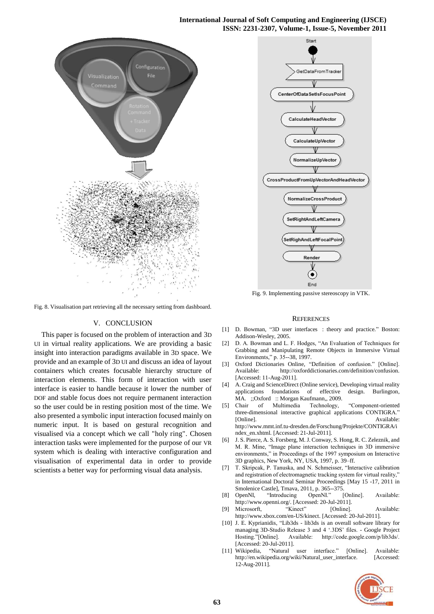## **International Journal of Soft Computing and Engineering (IJSCE) ISSN: 2231-2307, Volume-1, Issue-5, November 2011**



<span id="page-6-0"></span>Fig. 8. Visualisation part retrieving all the necessary setting from dashboard.

## V. CONCLUSION

This paper is focused on the problem of interaction and 3D UI in virtual reality applications. We are providing a basic insight into interaction paradigms available in 3D space. We provide and an example of 3D UI and discuss an idea of layout containers which creates focusable hierarchy structure of interaction elements. This form of interaction with user interface is easier to handle because it lower the number of DOF and stable focus does not require permanent interaction so the user could be in resting position most of the time. We also presented a symbolic input interaction focused mainly on numeric input. It is based on gestural recognition and visualised via a concept which we call "holy ring". Chosen interaction tasks were implemented for the purpose of our VR system which is dealing with interactive configuration and visualisation of experimental data in order to provide scientists a better way for performing visual data analysis.



<span id="page-6-1"></span>Fig. 9. Implementing passive stereoscopy in VTK.

#### **REFERENCES**

- [1] D. Bowman, "3D user interfaces : theory and practice." Boston: Addison-Wesley, 2005.
- [2] D. A. Bowman and L. F. Hodges, "An Evaluation of Techniques for Grabbing and Manipulating Remote Objects in Immersive Virtual Environments," p. 35--38, 1997.
- [3] Oxford Dictionaries Online, "Definition of confusion." [Online]. Available: http://oxforddictionaries.com/definition/confusion. [Accessed: 11-Aug-2011].
- [4] A. Craig and ScienceDirect (Online service), Developing virtual reality applications foundations of effective design. Burlington, MA. ;;Oxford :: Morgan Kaufmann,, 2009.
- [5] Chair of Multimedia Technology, "Component-oriented three-dimensional interactive graphical applications CONTIGRA." [Online]. Available: http://www.mmt.inf.tu-dresden.de/Forschung/Projekte/CONTIGRA/i ndex\_en.xhtml. [Accessed: 21-Jul-2011].
- [6] J. S. Pierce, A. S. Forsberg, M. J. Conway, S. Hong, R. C. Zeleznik, and M. R. Mine, "Image plane interaction techniques in 3D immersive environments," in Proceedings of the 1997 symposium on Interactive 3D graphics, New York, NY, USA, 1997, p. 39–ff.
- [7] T. Skripcak, P. Tanuska, and N. Schmeisser, "Interactive calibration and registration of electromagnetic tracking system for virtual reality,' in International Doctoral Seminar Proceedings [May 15 -17, 2011 in Smolenice Castle], Trnava, 2011, p. 365--375.
- [8] OpenNI, "Introducing OpenNI." [Online]. Available: http://www.openni.org/. [Accessed: 20-Jul-2011].
- [9] Microsorft, "Kinect" [Online]. Available: http://www.xbox.com/en-US/kinect. [Accessed: 20-Jul-2011].
- [10] J. E. Kyprianidis, "Lib3ds lib3ds is an overall software library for managing 3D-Studio Release 3 and 4 '.3DS' files. - Google Project Hosting."[Online]. Available: http://code.google.com/p/lib3ds/. Available: http://code.google.com/p/lib3ds/. [Accessed: 20-Jul-2011].
- [11] Wikipedia, "Natural user interface." [Online]. Available: http://en.wikipedia.org/wiki/Natural\_user\_interface. [Accessed: 12-Aug-2011].

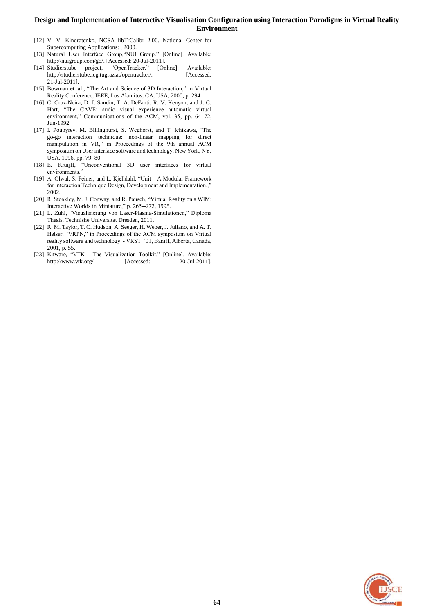- [12] V. V. Kindratenko, NCSA libTrCalibr 2.00. National Center for Supercomputing Applications: , 2000.
- [13] Natural User Interface Group, "NUI Group." [Online]. Available: http://nuigroup.com/go/. [Accessed: 20-Jul-2011].
- [14] Studierstube project, "OpenTracker." [Online]. Available: http://studierstube.icg.tugraz.at/opentracker/. [Accessed: 21-Jul-2011].
- [15] Bowman et. al., "The Art and Science of 3D Interaction," in Virtual Reality Conference, IEEE, Los Alamitos, CA, USA, 2000, p. 294.
- [16] C. Cruz-Neira, D. J. Sandin, T. A. DeFanti, R. V. Kenyon, and J. C. Hart, "The CAVE: audio visual experience automatic virtual environment," Communications of the ACM, vol. 35, pp. 64–72, Jun-1992.
- [17] I. Poupyrev, M. Billinghurst, S. Weghorst, and T. Ichikawa, "The go-go interaction technique: non-linear mapping for direct manipulation in VR," in Proceedings of the 9th annual ACM symposium on User interface software and technology, New York, NY, USA, 1996, pp. 79–80.
- [18] E. Kruijff, "Unconventional 3D user interfaces for virtual environments."
- [19] A. Olwal, S. Feiner, and L. Kjelldahl, "Unit—A Modular Framework for Interaction Technique Design, Development and Implementation.," 2002.
- [20] R. Stoakley, M. J. Conway, and R. Pausch, "Virtual Reality on a WIM: Interactive Worlds in Miniature," p. 265--272, 1995.
- [21] L. Zuhl, "Visualisierung von Laser-Plasma-Simulationen," Diploma Thesis, Technishe Universitat Dresden, 2011.
- [22] R. M. Taylor, T. C. Hudson, A. Seeger, H. Weber, J. Juliano, and A. T. Helser, "VRPN," in Proceedings of the ACM symposium on Virtual reality software and technology - VRST '01, Baniff, Alberta, Canada, 2001, p. 55.
- [23] Kitware, "VTK The Visualization Toolkit." [Online]. Available: http://www.vtk.org/. [Accessed: 20-Jul-2011].